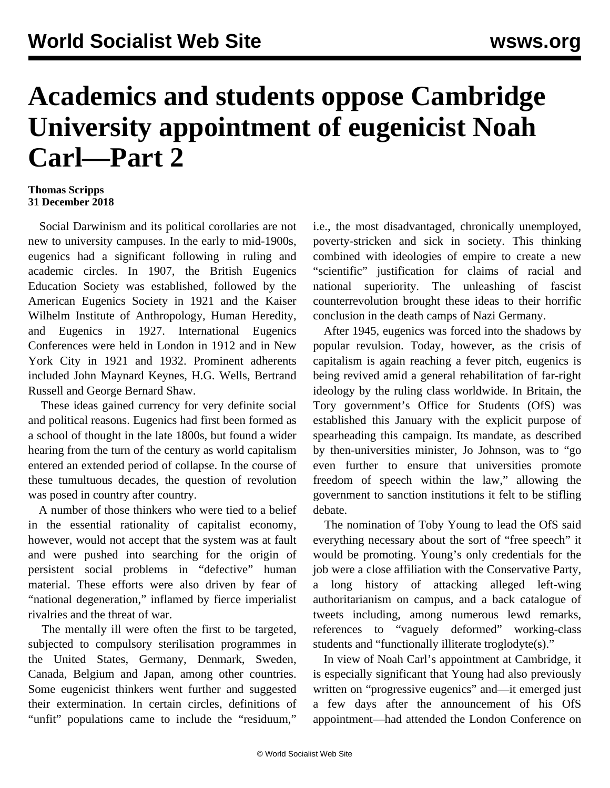## **Academics and students oppose Cambridge University appointment of eugenicist Noah Carl—Part 2**

## **Thomas Scripps 31 December 2018**

 Social Darwinism and its political corollaries are not new to university campuses. In the early to mid-1900s, eugenics had a significant following in ruling and academic circles. In 1907, the British Eugenics Education Society was established, followed by the American Eugenics Society in 1921 and the Kaiser Wilhelm Institute of Anthropology, Human Heredity, and Eugenics in 1927. International Eugenics Conferences were held in London in 1912 and in New York City in 1921 and 1932. Prominent adherents included John Maynard Keynes, H.G. Wells, Bertrand Russell and George Bernard Shaw.

 These ideas gained currency for very definite social and political reasons. Eugenics had first been formed as a school of thought in the late 1800s, but found a wider hearing from the turn of the century as world capitalism entered an extended period of collapse. In the course of these tumultuous decades, the question of revolution was posed in country after country.

 A number of those thinkers who were tied to a belief in the essential rationality of capitalist economy, however, would not accept that the system was at fault and were pushed into searching for the origin of persistent social problems in "defective" human material. These efforts were also driven by fear of "national degeneration," inflamed by fierce imperialist rivalries and the threat of war.

 The mentally ill were often the first to be targeted, subjected to compulsory sterilisation programmes in the United States, Germany, Denmark, Sweden, Canada, Belgium and Japan, among other countries. Some eugenicist thinkers went further and suggested their extermination. In certain circles, definitions of "unfit" populations came to include the "residuum,"

i.e., the most disadvantaged, chronically unemployed, poverty-stricken and sick in society. This thinking combined with ideologies of empire to create a new "scientific" justification for claims of racial and national superiority. The unleashing of fascist counterrevolution brought these ideas to their horrific conclusion in the death camps of Nazi Germany.

 After 1945, eugenics was forced into the shadows by popular revulsion. Today, however, as the crisis of capitalism is again reaching a fever pitch, eugenics is being revived amid a general rehabilitation of far-right ideology by the ruling class worldwide. In Britain, the Tory government's Office for Students (OfS) was established this January with the explicit purpose of spearheading this campaign. Its mandate, as described by then-universities minister, Jo Johnson, was to "go even further to ensure that universities promote freedom of speech within the law," allowing the government to sanction institutions it felt to be stifling debate.

 The nomination of Toby Young to lead the OfS said everything necessary about the sort of "free speech" it would be promoting. Young's only credentials for the job were a close affiliation with the Conservative Party, a long history of attacking alleged left-wing authoritarianism on campus, and a back catalogue of tweets including, among numerous lewd remarks, references to "vaguely deformed" working-class students and "functionally illiterate troglodyte(s)."

 In view of Noah Carl's appointment at Cambridge, it is especially significant that Young had also previously written on "progressive eugenics" and—it emerged just a few days after the announcement of his OfS appointment—had attended the London Conference on